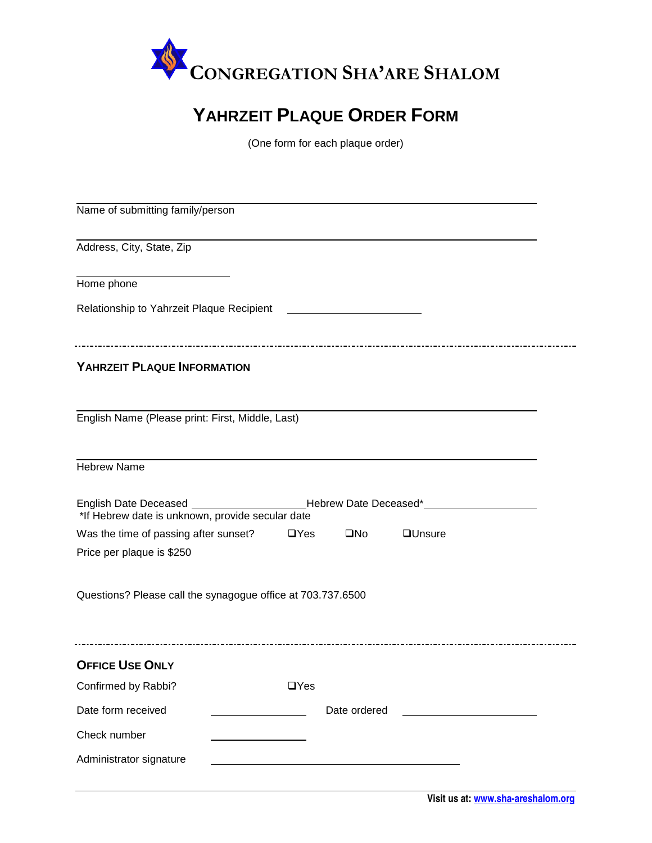

## **YAHRZEIT PLAQUE ORDER FORM**

(One form for each plaque order)

| Name of submitting family/person                                                                                                      |            |              |                |  |  |
|---------------------------------------------------------------------------------------------------------------------------------------|------------|--------------|----------------|--|--|
| Address, City, State, Zip                                                                                                             |            |              |                |  |  |
| Home phone                                                                                                                            |            |              |                |  |  |
| Relationship to Yahrzeit Plaque Recipient                                                                                             |            |              |                |  |  |
| YAHRZEIT PLAQUE INFORMATION                                                                                                           |            |              |                |  |  |
| English Name (Please print: First, Middle, Last)                                                                                      |            |              |                |  |  |
| <b>Hebrew Name</b>                                                                                                                    |            |              |                |  |  |
| English Date Deceased ________________________Hebrew Date Deceased*______________<br>*If Hebrew date is unknown, provide secular date |            |              |                |  |  |
| Was the time of passing after sunset?<br>Price per plaque is \$250                                                                    | $\Box$ Yes | $\square$ No | <b>QUnsure</b> |  |  |
| Questions? Please call the synagogue office at 703.737.6500                                                                           |            |              |                |  |  |
| <b>OFFICE USE ONLY</b>                                                                                                                |            |              |                |  |  |
| Confirmed by Rabbi?                                                                                                                   | $\Box$ Yes |              |                |  |  |
| Date form received                                                                                                                    |            | Date ordered |                |  |  |
| Check number                                                                                                                          |            |              |                |  |  |
| Administrator signature                                                                                                               |            |              |                |  |  |